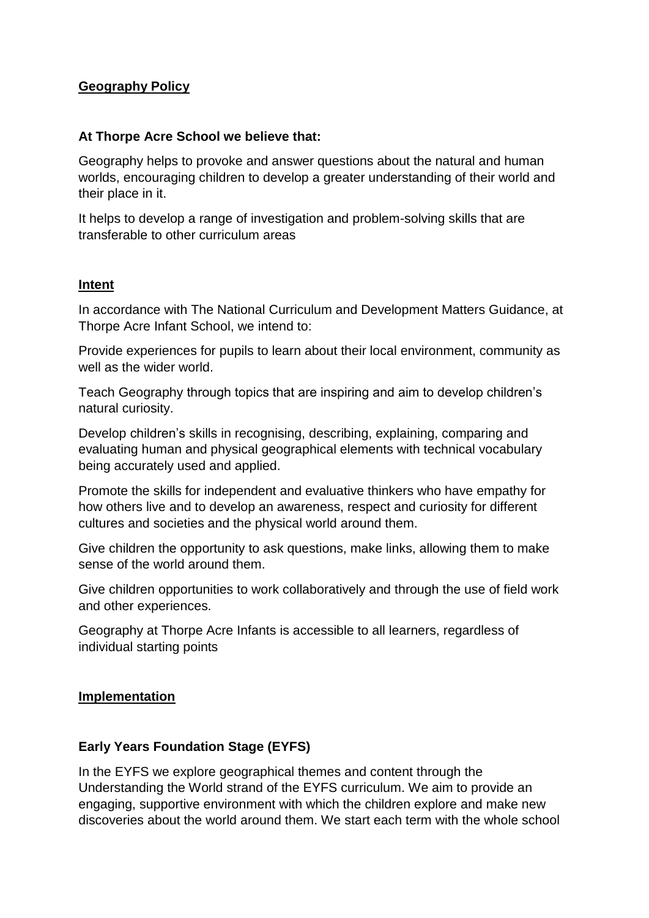## **Geography Policy**

#### **At Thorpe Acre School we believe that:**

Geography helps to provoke and answer questions about the natural and human worlds, encouraging children to develop a greater understanding of their world and their place in it.

It helps to develop a range of investigation and problem-solving skills that are transferable to other curriculum areas

#### **Intent**

In accordance with The National Curriculum and Development Matters Guidance, at Thorpe Acre Infant School, we intend to:

Provide experiences for pupils to learn about their local environment, community as well as the wider world.

Teach Geography through topics that are inspiring and aim to develop children's natural curiosity.

Develop children's skills in recognising, describing, explaining, comparing and evaluating human and physical geographical elements with technical vocabulary being accurately used and applied.

Promote the skills for independent and evaluative thinkers who have empathy for how others live and to develop an awareness, respect and curiosity for different cultures and societies and the physical world around them.

Give children the opportunity to ask questions, make links, allowing them to make sense of the world around them.

Give children opportunities to work collaboratively and through the use of field work and other experiences.

Geography at Thorpe Acre Infants is accessible to all learners, regardless of individual starting points

#### **Implementation**

#### **Early Years Foundation Stage (EYFS)**

In the EYFS we explore geographical themes and content through the Understanding the World strand of the EYFS curriculum. We aim to provide an engaging, supportive environment with which the children explore and make new discoveries about the world around them. We start each term with the whole school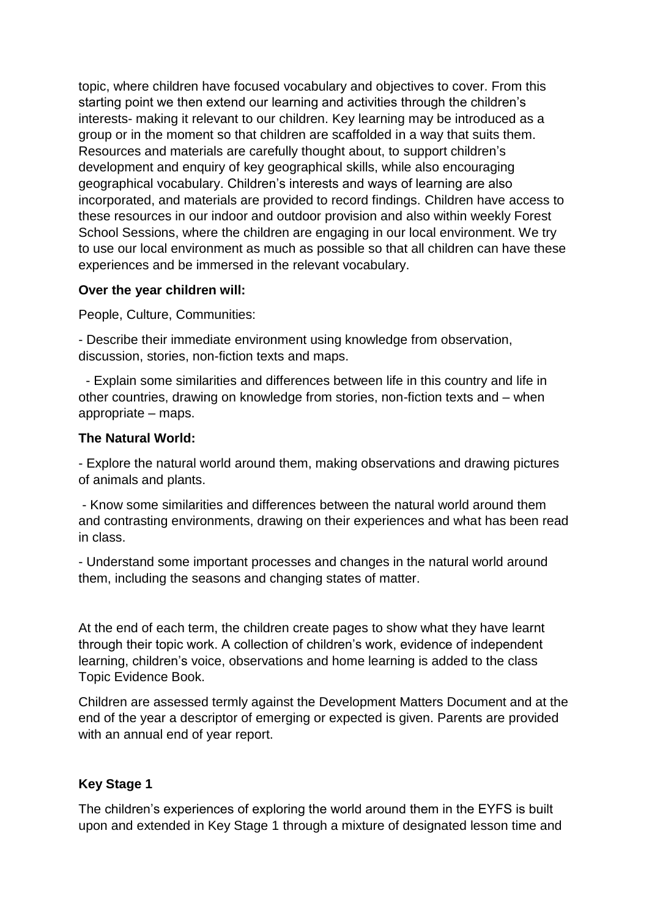topic, where children have focused vocabulary and objectives to cover. From this starting point we then extend our learning and activities through the children's interests- making it relevant to our children. Key learning may be introduced as a group or in the moment so that children are scaffolded in a way that suits them. Resources and materials are carefully thought about, to support children's development and enquiry of key geographical skills, while also encouraging geographical vocabulary. Children's interests and ways of learning are also incorporated, and materials are provided to record findings. Children have access to these resources in our indoor and outdoor provision and also within weekly Forest School Sessions, where the children are engaging in our local environment. We try to use our local environment as much as possible so that all children can have these experiences and be immersed in the relevant vocabulary.

#### **Over the year children will:**

People, Culture, Communities:

- Describe their immediate environment using knowledge from observation, discussion, stories, non-fiction texts and maps.

 - Explain some similarities and differences between life in this country and life in other countries, drawing on knowledge from stories, non-fiction texts and – when appropriate – maps.

## **The Natural World:**

- Explore the natural world around them, making observations and drawing pictures of animals and plants.

- Know some similarities and differences between the natural world around them and contrasting environments, drawing on their experiences and what has been read in class.

- Understand some important processes and changes in the natural world around them, including the seasons and changing states of matter.

At the end of each term, the children create pages to show what they have learnt through their topic work. A collection of children's work, evidence of independent learning, children's voice, observations and home learning is added to the class Topic Evidence Book.

Children are assessed termly against the Development Matters Document and at the end of the year a descriptor of emerging or expected is given. Parents are provided with an annual end of year report.

## **Key Stage 1**

The children's experiences of exploring the world around them in the EYFS is built upon and extended in Key Stage 1 through a mixture of designated lesson time and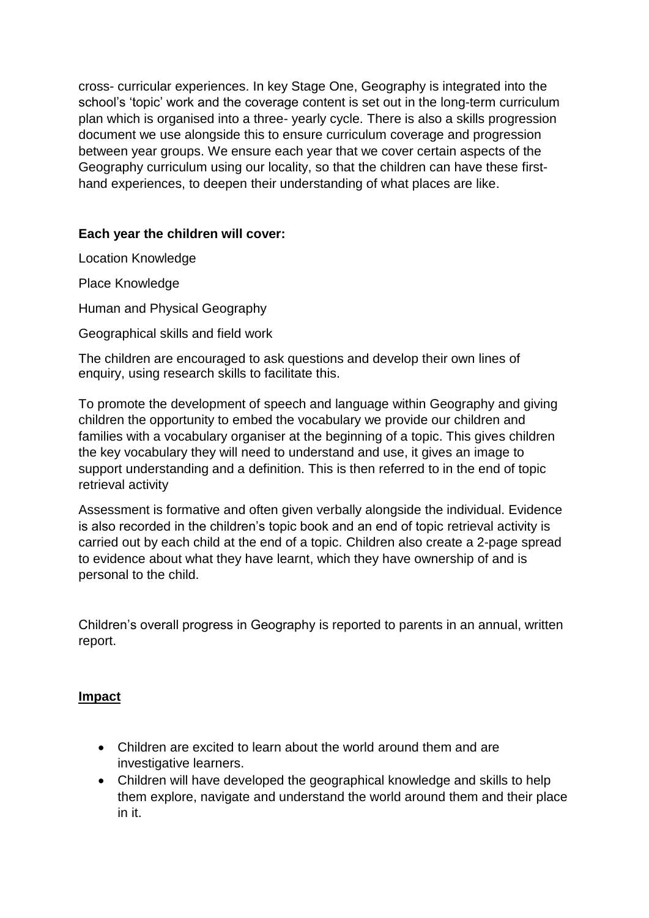cross- curricular experiences. In key Stage One, Geography is integrated into the school's 'topic' work and the coverage content is set out in the long-term curriculum plan which is organised into a three- yearly cycle. There is also a skills progression document we use alongside this to ensure curriculum coverage and progression between year groups. We ensure each year that we cover certain aspects of the Geography curriculum using our locality, so that the children can have these firsthand experiences, to deepen their understanding of what places are like.

## **Each year the children will cover:**

Location Knowledge

Place Knowledge

Human and Physical Geography

Geographical skills and field work

The children are encouraged to ask questions and develop their own lines of enquiry, using research skills to facilitate this.

To promote the development of speech and language within Geography and giving children the opportunity to embed the vocabulary we provide our children and families with a vocabulary organiser at the beginning of a topic. This gives children the key vocabulary they will need to understand and use, it gives an image to support understanding and a definition. This is then referred to in the end of topic retrieval activity

Assessment is formative and often given verbally alongside the individual. Evidence is also recorded in the children's topic book and an end of topic retrieval activity is carried out by each child at the end of a topic. Children also create a 2-page spread to evidence about what they have learnt, which they have ownership of and is personal to the child.

Children's overall progress in Geography is reported to parents in an annual, written report.

## **Impact**

- Children are excited to learn about the world around them and are investigative learners.
- Children will have developed the geographical knowledge and skills to help them explore, navigate and understand the world around them and their place in it.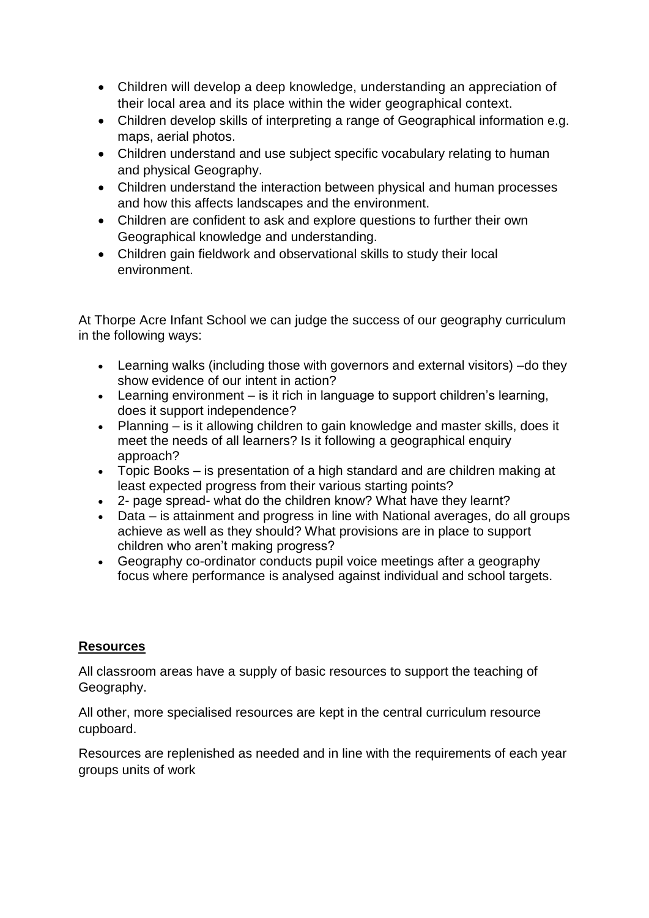- Children will develop a deep knowledge, understanding an appreciation of their local area and its place within the wider geographical context.
- Children develop skills of interpreting a range of Geographical information e.g. maps, aerial photos.
- Children understand and use subject specific vocabulary relating to human and physical Geography.
- Children understand the interaction between physical and human processes and how this affects landscapes and the environment.
- Children are confident to ask and explore questions to further their own Geographical knowledge and understanding.
- Children gain fieldwork and observational skills to study their local environment.

At Thorpe Acre Infant School we can judge the success of our geography curriculum in the following ways:

- Learning walks (including those with governors and external visitors) –do they show evidence of our intent in action?
- Learning environment is it rich in language to support children's learning, does it support independence?
- Planning is it allowing children to gain knowledge and master skills, does it meet the needs of all learners? Is it following a geographical enquiry approach?
- Topic Books is presentation of a high standard and are children making at least expected progress from their various starting points?
- 2- page spread- what do the children know? What have they learnt?
- Data is attainment and progress in line with National averages, do all groups achieve as well as they should? What provisions are in place to support children who aren't making progress?
- Geography co-ordinator conducts pupil voice meetings after a geography focus where performance is analysed against individual and school targets.

## **Resources**

All classroom areas have a supply of basic resources to support the teaching of Geography.

All other, more specialised resources are kept in the central curriculum resource cupboard.

Resources are replenished as needed and in line with the requirements of each year groups units of work